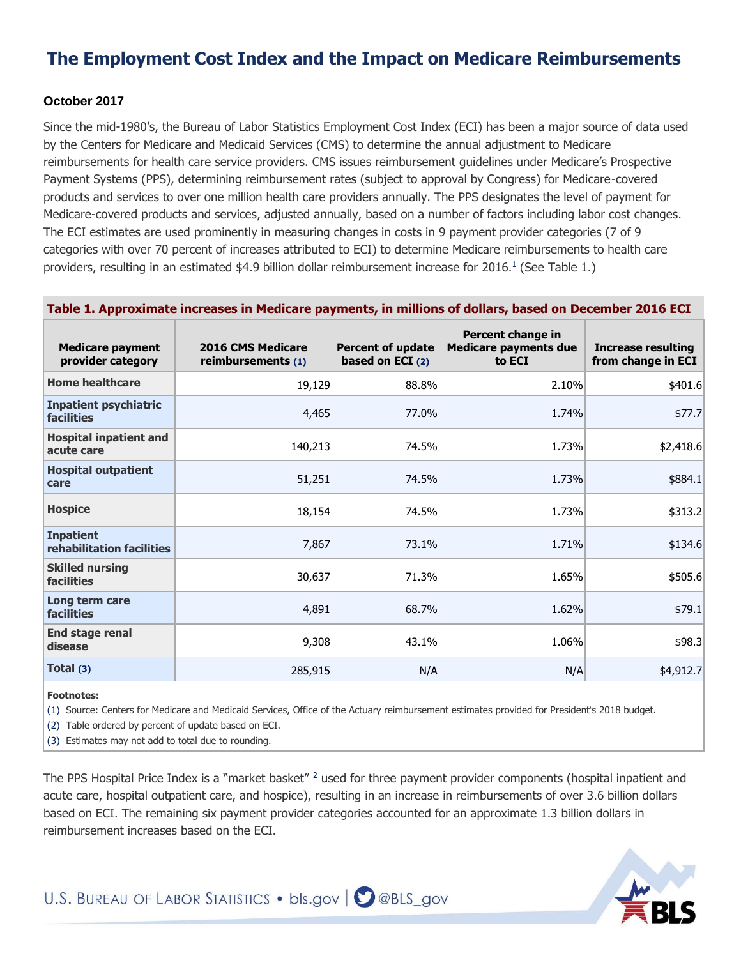# **The Employment Cost Index and the Impact on Medicare Reimbursements**

# **October 2017**

Since the mid-1980's, the Bureau of Labor Statistics Employment Cost Index (ECI) has been a major source of data used by the Centers for Medicare and Medicaid Services (CMS) to determine the annual adjustment to Medicare reimbursements for health care service providers. CMS issues reimbursement guidelines under Medicare's Prospective Payment Systems (PPS), determining reimbursement rates (subject to approval by Congress) for Medicare-covered products and services to over one million health care providers annually. The PPS designates the level of payment for Medicare-covered products and services, adjusted annually, based on a number of factors including labor cost changes. The ECI estimates are used prominently in measuring changes in costs in 9 payment provider categories (7 of 9 categories with over 70 percent of increases attributed to ECI) to determine Medicare reimbursements to health care providers, resulting in an estimated \$4.9 billion dollar reimbursement increase for 2016.<sup>1</sup> (See Table 1.)

|  | Table 1. Approximate increases in Medicare payments, in millions of dollars, based on December 2016 ECI |  |  |  |  |
|--|---------------------------------------------------------------------------------------------------------|--|--|--|--|
|  |                                                                                                         |  |  |  |  |

| <b>Medicare payment</b><br>provider category      | <b>2016 CMS Medicare</b><br>reimbursements (1) | <b>Percent of update</b><br>based on ECI (2) | Percent change in<br><b>Medicare payments due</b><br>to ECI | <b>Increase resulting</b><br>from change in ECI |
|---------------------------------------------------|------------------------------------------------|----------------------------------------------|-------------------------------------------------------------|-------------------------------------------------|
| <b>Home healthcare</b>                            | 19,129                                         | 88.8%                                        | 2.10%                                                       | \$401.6                                         |
| <b>Inpatient psychiatric</b><br><b>facilities</b> | 4,465                                          | 77.0%                                        | 1.74%                                                       | \$77.7                                          |
| <b>Hospital inpatient and</b><br>acute care       | 140,213                                        | 74.5%                                        | 1.73%                                                       | \$2,418.6                                       |
| <b>Hospital outpatient</b><br>care                | 51,251                                         | 74.5%                                        | 1.73%                                                       | \$884.1                                         |
| <b>Hospice</b>                                    | 18,154                                         | 74.5%                                        | 1.73%                                                       | \$313.2                                         |
| <b>Inpatient</b><br>rehabilitation facilities     | 7,867                                          | 73.1%                                        | 1.71%                                                       | \$134.6                                         |
| <b>Skilled nursing</b><br><b>facilities</b>       | 30,637                                         | 71.3%                                        | 1.65%                                                       | \$505.6                                         |
| Long term care<br><b>facilities</b>               | 4,891                                          | 68.7%                                        | 1.62%                                                       | \$79.1                                          |
| End stage renal<br>disease                        | 9,308                                          | 43.1%                                        | 1.06%                                                       | \$98.3                                          |
| Total (3)                                         | 285,915                                        | N/A                                          | N/A                                                         | \$4,912.7                                       |

#### **Footnotes:**

(1) Source: Centers for Medicare and Medicaid Services, Office of the Actuary reimbursement estimates provided for President's 2018 budget.

- (2) Table ordered by percent of update based on ECI.
- (3) Estimates may not add to total due to rounding.

The PPS Hospital Price Index is a "market basket" <sup>2</sup> used for three payment provider components (hospital inpatient and acute care, hospital outpatient care, and hospice), resulting in an increase in reimbursements of over 3.6 billion dollars based on ECI. The remaining six payment provider categories accounted for an approximate 1.3 billion dollars in reimbursement increases based on the ECI.